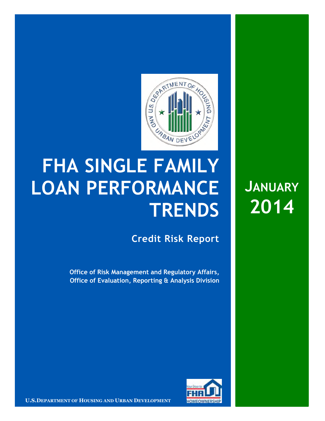

## **FHA SINGLE FAMILY LOAN PERFORMANCE TRENDS**

**Credit Risk Report**

**Office of Risk Management and Regulatory Affairs, Office of Evaluation, Reporting & Analysis Division**



**LET A REPORTMENT OF HOUSING AND URBAN DEVELOPMENT THE HOMEOWNERSHIP CONTINUES.** 

**JANUARY 2014**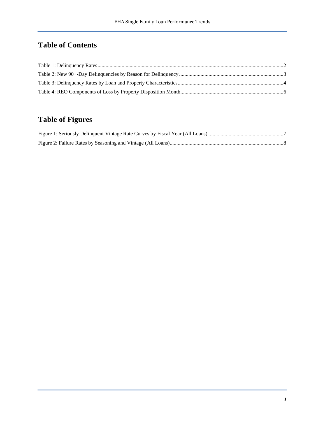## **Table of Contents**

## **Table of Figures**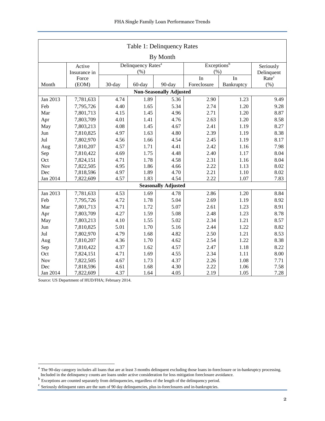<span id="page-2-0"></span>

| Table 1: Delinquency Rates     |              |                                |                         |                            |             |            |                   |  |  |  |  |
|--------------------------------|--------------|--------------------------------|-------------------------|----------------------------|-------------|------------|-------------------|--|--|--|--|
| By Month                       |              |                                |                         |                            |             |            |                   |  |  |  |  |
|                                | Active       | Delinquency Rates <sup>a</sup> | Exceptions <sup>b</sup> | Seriously                  |             |            |                   |  |  |  |  |
|                                | Insurance in |                                | (% )                    |                            | (% )        |            | Delinquent        |  |  |  |  |
|                                | Force        |                                |                         |                            | In          | In         | Rate <sup>c</sup> |  |  |  |  |
| Month                          | (EOM)        | 30-day                         | 60-day                  | 90-day                     | Foreclosure | Bankruptcy | (% )              |  |  |  |  |
| <b>Non-Seasonally Adjusted</b> |              |                                |                         |                            |             |            |                   |  |  |  |  |
| Jan 2013                       | 7,781,633    | 4.74                           | 1.89                    | 5.36                       | 2.90        | 1.23       | 9.49              |  |  |  |  |
| Feb                            | 7,795,726    | 4.40                           | 1.65                    | 5.34                       | 2.74        | 1.20       | 9.28              |  |  |  |  |
| Mar                            | 7,801,713    | 4.15                           | 1.45                    | 4.96                       | 2.71        | 1.20       | 8.87              |  |  |  |  |
| Apr                            | 7,803,709    | 4.01                           | 1.41                    | 4.76                       | 2.63        | 1.20       | 8.58              |  |  |  |  |
| May                            | 7,803,213    | 4.08                           | 1.45                    | 4.67                       | 2.41        | 1.19       | 8.27              |  |  |  |  |
| Jun                            | 7,810,825    | 4.97                           | 1.63                    | 4.80                       | 2.39        | 1.19       | 8.38              |  |  |  |  |
| Jul                            | 7,802,970    | 4.56                           | 1.66                    | 4.54                       | 2.45        | 1.19       | 8.17              |  |  |  |  |
| Aug                            | 7,810,207    | 4.57                           | 1.71                    | 4.41                       | 2.42        | 1.16       | 7.98              |  |  |  |  |
| Sep                            | 7,810,422    | 4.69                           | 1.75                    | 4.48                       | 2.40        | 1.17       | 8.04              |  |  |  |  |
| Oct                            | 7,824,151    | 4.71                           | 1.78                    | 4.58                       | 2.31        | 1.16       | 8.04              |  |  |  |  |
| <b>Nov</b>                     | 7,822,505    | 4.95                           | 1.86                    | 4.66                       | 2.22        | 1.13       | 8.02              |  |  |  |  |
| Dec                            | 7,818,596    | 4.97                           | 1.89                    | 4.70                       | 2.21        | 1.10       | 8.02              |  |  |  |  |
| Jan 2014                       | 7,822,609    | 4.57                           | 1.83                    | 4.54                       | 2.22        | 1.07       | 7.83              |  |  |  |  |
|                                |              |                                |                         | <b>Seasonally Adjusted</b> |             |            |                   |  |  |  |  |
| Jan 2013                       | 7,781,633    | 4.53                           | 1.69                    | 4.78                       | 2.86        | 1.20       | 8.84              |  |  |  |  |
| Feb                            | 7,795,726    | 4.72                           | 1.78                    | 5.04                       | 2.69        | 1.19       | 8.92              |  |  |  |  |
| Mar                            | 7,801,713    | 4.71                           | 1.72                    | 5.07                       | 2.61        | 1.23       | 8.91              |  |  |  |  |
| Apr                            | 7,803,709    | 4.27                           | 1.59                    | 5.08                       | 2.48        | 1.23       | 8.78              |  |  |  |  |
| May                            | 7,803,213    | 4.10                           | 1.55                    | 5.02                       | 2.34        | 1.21       | 8.57              |  |  |  |  |
| Jun                            | 7,810,825    | 5.01                           | 1.70                    | 5.16                       | 2.44        | 1.22       | 8.82              |  |  |  |  |
| Jul                            | 7,802,970    | 4.79                           | 1.68                    | 4.82                       | 2.50        | 1.21       | 8.53              |  |  |  |  |
| Aug                            | 7,810,207    | 4.36                           | 1.70                    | 4.62                       | 2.54        | 1.22       | 8.38              |  |  |  |  |
| Sep                            | 7,810,422    | 4.37                           | 1.62                    | 4.57                       | 2.47        | 1.18       | 8.22              |  |  |  |  |
| Oct                            | 7,824,151    | 4.71                           | 1.69                    | 4.55                       | 2.34        | 1.11       | 8.00              |  |  |  |  |
| <b>Nov</b>                     | 7,822,505    | 4.67                           | 1.73                    | 4.37                       | 2.26        | 1.08       | 7.71              |  |  |  |  |
| Dec                            | 7,818,596    | 4.61                           | 1.68                    | 4.30                       | 2.22        | 1.06       | 7.58              |  |  |  |  |
| Jan 2014                       | 7,822,609    | 4.37                           | 1.64                    | 4.05                       | 2.19        | 1.05       | 7.28              |  |  |  |  |

<span id="page-2-1"></span><sup>&</sup>lt;sup>a</sup> The 90-day category includes all loans that are at least 3 months delinquent excluding those loans in-foreclosure or in-bankruptcy processing. Included in the delinquency counts are loans under active consideration for loss mitigation foreclosure avoidance.<br><sup>b</sup> Exceptions are counted separately from delinquencies, regardless of the length of the delinquency perio

<span id="page-2-3"></span><span id="page-2-2"></span>

<sup>&</sup>lt;sup>c</sup> Seriously delinquent rates are the sum of 90 day delinquencies, plus in-foreclosures and in-bankruptcies.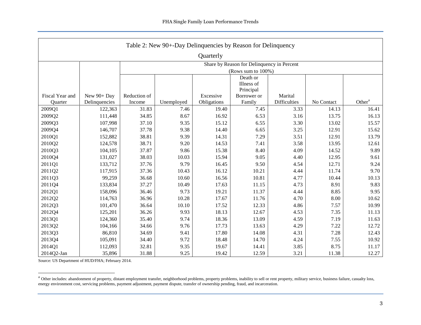<span id="page-3-0"></span>

| Table 2: New 90+-Day Delinquencies by Reason for Delinquency |                                            |              |                        |             |                       |                     |            |                    |  |  |  |  |
|--------------------------------------------------------------|--------------------------------------------|--------------|------------------------|-------------|-----------------------|---------------------|------------|--------------------|--|--|--|--|
| Quarterly                                                    |                                            |              |                        |             |                       |                     |            |                    |  |  |  |  |
|                                                              | Share by Reason for Delinquency in Percent |              |                        |             |                       |                     |            |                    |  |  |  |  |
|                                                              |                                            |              | (Rows sum to 100%)     |             |                       |                     |            |                    |  |  |  |  |
|                                                              |                                            |              | Death or<br>Illness of |             |                       |                     |            |                    |  |  |  |  |
|                                                              |                                            |              |                        |             |                       |                     |            |                    |  |  |  |  |
| Fiscal Year and                                              | New 90+ Day                                | Reduction of |                        | Excessive   | Principal             | Marital             |            |                    |  |  |  |  |
| Quarter                                                      | Delinquencies                              | Income       | Unemployed             | Obligations | Borrower or<br>Family | <b>Difficulties</b> | No Contact | Other <sup>a</sup> |  |  |  |  |
| 2009Q1                                                       | 122,363                                    | 31.83        | 7.46                   | 19.40       | 7.45                  | 3.33                | 14.13      | 16.41              |  |  |  |  |
| 2009Q2                                                       | 111,448                                    | 34.85        | 8.67                   | 16.92       | 6.53                  | 3.16                | 13.75      | 16.13              |  |  |  |  |
| 2009Q3                                                       | 107,998                                    | 37.10        | 9.35                   | 15.12       | 6.55                  | 3.30                | 13.02      | 15.57              |  |  |  |  |
| 2009Q4                                                       | 146,707                                    | 37.78        | 9.38                   | 14.40       | 6.65                  | 3.25                | 12.91      | 15.62              |  |  |  |  |
| 2010Q1                                                       | 152,882                                    | 38.81        | 9.39                   | 14.31       | 7.29                  | 3.51                | 12.91      | 13.79              |  |  |  |  |
| 2010Q2                                                       | 124,578                                    | 38.71        | 9.20                   | 14.53       | 7.41                  | 3.58                | 13.95      | 12.61              |  |  |  |  |
| 2010Q3                                                       | 104,105                                    | 37.87        | 9.86                   | 15.38       | 8.40                  | 4.09                | 14.52      | 9.89               |  |  |  |  |
| 2010Q4                                                       | 131,027                                    | 38.03        | 10.03                  | 15.94       | 9.05                  | 4.40                | 12.95      | 9.61               |  |  |  |  |
| 2011Q1                                                       | 133,712                                    | 37.76        | 9.79                   | 16.45       | 9.50                  | 4.54                | 12.71      | 9.24               |  |  |  |  |
| 2011Q2                                                       | 117,915                                    | 37.36        | 10.43                  | 16.12       | 10.21                 | 4.44                | 11.74      | 9.70               |  |  |  |  |
| 2011Q3                                                       | 99,259                                     | 36.68        | 10.60                  | 16.56       | 10.81                 | 4.77                | 10.44      | 10.13              |  |  |  |  |
| 2011Q4                                                       | 133,834                                    | 37.27        | 10.49                  | 17.63       | 11.15                 | 4.73                | 8.91       | 9.83               |  |  |  |  |
| 2012Q1                                                       | 158,096                                    | 36.46        | 9.73                   | 19.21       | 11.37                 | 4.44                | 8.85       | 9.95               |  |  |  |  |
| 2012Q2                                                       | 114,763                                    | 36.96        | 10.28                  | 17.67       | 11.76                 | 4.70                | 8.00       | 10.62              |  |  |  |  |
| 2012Q3                                                       | 101,470                                    | 36.64        | 10.10                  | 17.52       | 12.33                 | 4.86                | 7.57       | 10.99              |  |  |  |  |
| 2012Q4                                                       | 125,201                                    | 36.26        | 9.93                   | 18.13       | 12.67                 | 4.53                | 7.35       | 11.13              |  |  |  |  |
| 2013Q1                                                       | 124,360                                    | 35.40        | 9.74                   | 18.36       | 13.09                 | 4.59                | 7.19       | 11.63              |  |  |  |  |
| 2013Q2                                                       | 104,166                                    | 34.66        | 9.76                   | 17.73       | 13.63                 | 4.29                | 7.22       | 12.72              |  |  |  |  |
| 2013Q3                                                       | 86,810                                     | 34.69        | 9.41                   | 17.80       | 14.08                 | 4.31                | 7.28       | 12.43              |  |  |  |  |
| 2013Q4                                                       | 105,091                                    | 34.40        | 9.72                   | 18.48       | 14.70                 | 4.24                | 7.55       | 10.92              |  |  |  |  |
| 2014Q1                                                       | 112,093                                    | 32.81        | 9.35                   | 19.67       | 14.41                 | 3.85                | 8.75       | 11.17              |  |  |  |  |
| 2014Q2-Jan                                                   | 35,896                                     | 31.88        | 9.25                   | 19.42       | 12.59                 | 3.21                | 11.38      | 12.27              |  |  |  |  |

<sup>&</sup>lt;sup>a</sup> Other includes: abandonment of property, distant employment transfer, neighborhood problems, property problems, inability to sell or rent property, military service, business failure, casualty loss, energy environment cost, servicing problems, payment adjustment, payment dispute, transfer of ownership pending, fraud, and incarceration.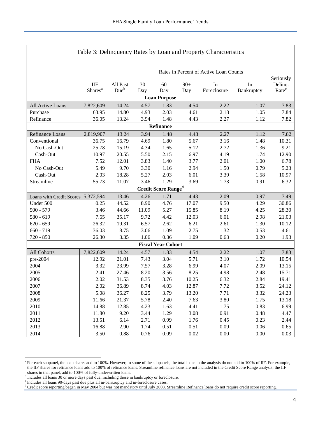<span id="page-4-0"></span>

| Table 3: Delinquency Rates by Loan and Property Characteristics                       |                            |                                        |           |                                            |              |                   |                  |                                           |  |  |  |
|---------------------------------------------------------------------------------------|----------------------------|----------------------------------------|-----------|--------------------------------------------|--------------|-------------------|------------------|-------------------------------------------|--|--|--|
|                                                                                       |                            |                                        |           |                                            |              |                   |                  |                                           |  |  |  |
|                                                                                       |                            | Rates in Percent of Active Loan Counts |           |                                            |              |                   |                  |                                           |  |  |  |
|                                                                                       | IIF<br>Shares <sup>a</sup> | All Past<br>Due <sup>b</sup>           | 30<br>Day | 60<br>Day                                  | $90+$<br>Day | In<br>Foreclosure | In<br>Bankruptcy | Seriously<br>Delinq.<br>Rate <sup>c</sup> |  |  |  |
| <b>Loan Purpose</b>                                                                   |                            |                                        |           |                                            |              |                   |                  |                                           |  |  |  |
| All Active Loans                                                                      | 7,822,609                  | 14.24                                  | 4.57      | 1.83                                       | 4.54         | 2.22              | 1.07             | 7.83                                      |  |  |  |
| Purchase                                                                              | 63.95                      | 14.80                                  | 4.93      | 2.03                                       | 4.61         | 2.18              | 1.05             | 7.84                                      |  |  |  |
| Refinance                                                                             | 36.05                      | 13.24                                  | 3.94      | 1.48                                       | 4.43         | 2.27              | 1.12             | 7.82                                      |  |  |  |
| Refinance                                                                             |                            |                                        |           |                                            |              |                   |                  |                                           |  |  |  |
| 13.24<br>3.94<br>2.27<br>1.12<br>Refinance Loans<br>2,819,907<br>1.48<br>4.43<br>7.82 |                            |                                        |           |                                            |              |                   |                  |                                           |  |  |  |
| Conventional                                                                          | 36.75                      | 16.79                                  | 4.69      | 1.80                                       | 5.67         | 3.16              | 1.48             | 10.31                                     |  |  |  |
| No Cash-Out                                                                           | 25.78                      | 15.19                                  | 4.34      | 1.65                                       | 5.12         | 2.72              | 1.36             | 9.21                                      |  |  |  |
| Cash-Out                                                                              | 10.97                      | 20.55                                  | 5.50      | 2.15                                       | 6.97         | 4.19              | 1.74             | 12.90                                     |  |  |  |
| <b>FHA</b>                                                                            | 7.52                       | 12.01                                  | 3.83      | 1.40                                       | 3.77         | 2.01              | 1.00             | 6.78                                      |  |  |  |
| No Cash-Out                                                                           | 5.49                       | 9.70                                   | 3.30      | 1.16                                       | 2.94         | 1.50              | 0.79             | 5.23                                      |  |  |  |
| Cash-Out                                                                              | 2.03                       | 18.28                                  | 5.27      | 2.03                                       | 6.01         | 3.39              | 1.58             | 10.97                                     |  |  |  |
| Streamline                                                                            | 55.73                      | 11.07                                  | 3.46      | 1.29                                       | 3.69         | 1.73              | 0.91             | 6.32                                      |  |  |  |
|                                                                                       |                            |                                        |           | Credit Score $\mathbf{Range}^{\mathbf{d}}$ |              |                   |                  |                                           |  |  |  |
| Loans with Credit Scores 5,372,594                                                    |                            | 13.46                                  | 4.26      | 1.71                                       | 4.43         | 2.09              | 0.97             | 7.49                                      |  |  |  |
| Under 500                                                                             | 0.25                       | 44.52                                  | 8.90      | 4.76                                       | 17.07        | 9.50              | 4.29             | 30.86                                     |  |  |  |
| $500 - 579$                                                                           | 3.46                       | 44.66                                  | 11.09     | 5.27                                       | 15.85        | 8.19              | 4.25             | 28.30                                     |  |  |  |
| $580 - 619$                                                                           | 7.65                       | 35.17                                  | 9.72      | 4.42                                       | 12.03        | 6.01              | 2.98             | 21.03                                     |  |  |  |
| $620 - 659$                                                                           | 26.32                      | 19.31                                  | 6.57      | 2.62                                       | 6.21         | 2.61              | 1.30             | 10.12                                     |  |  |  |
| $660 - 719$                                                                           | 36.03                      | 8.75                                   | 3.06      | 1.09                                       | 2.75         | 1.32              | 0.53             | 4.61                                      |  |  |  |
| 720 - 850                                                                             | 26.30                      | 3.35                                   | 1.06      | 0.36                                       | 1.09         | 0.63              | 0.20             | 1.93                                      |  |  |  |
|                                                                                       |                            |                                        |           | <b>Fiscal Year Cohort</b>                  |              |                   |                  |                                           |  |  |  |
| All Cohorts                                                                           | 7,822,609                  | 14.24                                  | 4.57      | 1.83                                       | 4.54         | 2.22              | 1.07             | 7.83                                      |  |  |  |
| pre-2004                                                                              | 12.92                      | 21.01                                  | 7.43      | 3.04                                       | 5.71         | 3.10              | 1.72             | 10.54                                     |  |  |  |
| 2004                                                                                  | 3.32                       | 23.99                                  | 7.57      | 3.28                                       | 6.99         | 4.07              | 2.09             | 13.15                                     |  |  |  |
| 2005                                                                                  | 2.41                       | 27.46                                  | 8.20      | 3.56                                       | 8.25         | 4.98              | 2.48             | 15.71                                     |  |  |  |
| 2006                                                                                  | 2.02                       | 31.53                                  | 8.35      | 3.76                                       | 10.25        | 6.32              | 2.84             | 19.41                                     |  |  |  |
| 2007                                                                                  | 2.02                       | 36.89                                  | 8.74      | 4.03                                       | 12.87        | 7.72              | 3.52             | 24.12                                     |  |  |  |
| 2008                                                                                  | 5.08                       | 36.27                                  | 8.25      | 3.79                                       | 13.20        | 7.71              | 3.32             | 24.23                                     |  |  |  |
| 2009                                                                                  | 11.66                      | 21.37                                  | 5.78      | 2.40                                       | 7.63         | 3.80              | 1.75             | 13.18                                     |  |  |  |
| 2010                                                                                  | 14.88                      | 12.85                                  | 4.23      | 1.63                                       | 4.41         | 1.75              | 0.83             | 6.99                                      |  |  |  |
| 2011                                                                                  | 11.80                      | 9.20                                   | 3.44      | 1.29                                       | 3.08         | 0.91              | 0.48             | 4.47                                      |  |  |  |
| 2012                                                                                  | 13.51                      | 6.14                                   | 2.71      | 0.99                                       | 1.76         | 0.45              | 0.23             | 2.44                                      |  |  |  |
| 2013                                                                                  | 16.88                      | 2.90                                   | 1.74      | 0.51                                       | 0.51         | 0.09              | 0.06             | 0.65                                      |  |  |  |
| 2014                                                                                  | 3.50                       | 0.88                                   | 0.76      | 0.09                                       | 0.02         | 0.00              | 0.00             | 0.03                                      |  |  |  |

Г

<span id="page-4-1"></span><sup>&</sup>lt;sup>a</sup> For each subpanel, the loan shares add to 100%. However, in some of the subpanels, the total loans in the analysis do not add to 100% of IIF. For example, the IIF shares for refinance loans add to 100% of refinance loans. Streamline refinance loans are not included in the Credit Score Range analysis; the IIF shares in that panel, add to 100% of fully-underwritten loans.

<span id="page-4-3"></span><span id="page-4-2"></span><sup>&</sup>lt;sup>b</sup> Includes all loans 30 or more days past due, including those in bankruptcy or foreclosure.

<span id="page-4-4"></span>c Includes all loans 90-days past due plus all in-bankruptcy and in-foreclosure cases.

<sup>&</sup>lt;sup>d</sup> Credit score reporting began in May 2004 but was not mandatory until July 2008. Streamline Refinance loans do not require credit score reporting.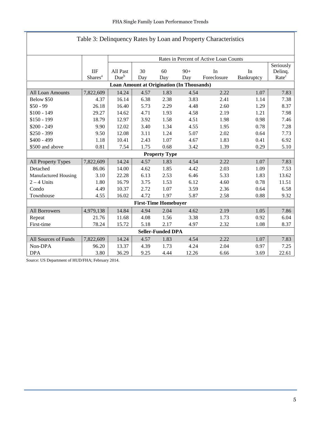| Table 3: Delinquency Rates by Loan and Property Characteristics |                                                  |                                        |      |                             |       |             |            |                   |  |  |  |
|-----------------------------------------------------------------|--------------------------------------------------|----------------------------------------|------|-----------------------------|-------|-------------|------------|-------------------|--|--|--|
|                                                                 |                                                  |                                        |      |                             |       |             |            |                   |  |  |  |
|                                                                 |                                                  | Rates in Percent of Active Loan Counts |      |                             |       |             |            |                   |  |  |  |
|                                                                 |                                                  | Seriously                              |      |                             |       |             |            |                   |  |  |  |
|                                                                 | <b>IIF</b>                                       | All Past                               | 30   | 60                          | $90+$ | In          | In         | Delinq.           |  |  |  |
|                                                                 | Shares <sup>a</sup>                              | Due <sup>b</sup>                       | Day  | Day                         | Day   | Foreclosure | Bankruptcy | Rate <sup>c</sup> |  |  |  |
|                                                                 | <b>Loan Amount at Origination (In Thousands)</b> |                                        |      |                             |       |             |            |                   |  |  |  |
| All Loan Amounts                                                | 7,822,609                                        | 14.24                                  | 4.57 | 1.83                        | 4.54  | 2.22        | 1.07       | 7.83              |  |  |  |
| Below \$50                                                      | 4.37                                             | 16.14                                  | 6.38 | 2.38                        | 3.83  | 2.41        | 1.14       | 7.38              |  |  |  |
| $$50 - 99$                                                      | 26.18                                            | 16.40                                  | 5.73 | 2.29                        | 4.48  | 2.60        | 1.29       | 8.37              |  |  |  |
| $$100 - 149$                                                    | 29.27                                            | 14.62                                  | 4.71 | 1.93                        | 4.58  | 2.19        | 1.21       | 7.98              |  |  |  |
| $$150 - 199$                                                    | 18.79                                            | 12.97                                  | 3.92 | 1.58                        | 4.51  | 1.98        | 0.98       | 7.46              |  |  |  |
| $$200 - 249$                                                    | 9.90                                             | 12.02                                  | 3.40 | 1.34                        | 4.55  | 1.95        | 0.78       | 7.28              |  |  |  |
| $$250 - 399$                                                    | 9.50                                             | 12.08                                  | 3.11 | 1.24                        | 5.07  | 2.02        | 0.64       | 7.73              |  |  |  |
| $$400 - 499$                                                    | 1.18                                             | 10.41                                  | 2.43 | 1.07                        | 4.67  | 1.83        | 0.41       | 6.92              |  |  |  |
| \$500 and above                                                 | 0.81                                             | 7.54                                   | 1.75 | 0.68                        | 3.42  | 1.39        | 0.29       | 5.10              |  |  |  |
|                                                                 |                                                  |                                        |      | <b>Property Type</b>        |       |             |            |                   |  |  |  |
| All Property Types                                              | 7,822,609                                        | 14.24                                  | 4.57 | 1.83                        | 4.54  | 2.22        | 1.07       | 7.83              |  |  |  |
| Detached                                                        | 86.06                                            | 14.00                                  | 4.62 | 1.85                        | 4.42  | 2.03        | 1.09       | 7.53              |  |  |  |
| Manufactured Housing                                            | 3.10                                             | 22.28                                  | 6.13 | 2.53                        | 6.46  | 5.33        | 1.83       | 13.62             |  |  |  |
| $2 - 4$ Units                                                   | 1.80                                             | 16.79                                  | 3.75 | 1.53                        | 6.12  | 4.60        | 0.78       | 11.51             |  |  |  |
| Condo                                                           | 4.49                                             | 10.37                                  | 2.72 | 1.07                        | 3.59  | 2.36        | 0.64       | 6.58              |  |  |  |
| Townhouse                                                       | 4.55                                             | 16.02                                  | 4.72 | 1.97                        | 5.87  | 2.58        | 0.88       | 9.32              |  |  |  |
|                                                                 |                                                  |                                        |      | <b>First-Time Homebuyer</b> |       |             |            |                   |  |  |  |
| All Borrowers                                                   | 4,979,138                                        | 14.84                                  | 4.94 | 2.04                        | 4.62  | 2.19        | 1.05       | 7.86              |  |  |  |
| Repeat                                                          | 21.76                                            | 11.68                                  | 4.08 | 1.56                        | 3.38  | 1.73        | 0.92       | 6.04              |  |  |  |
| First-time                                                      | 78.24                                            | 15.72                                  | 5.18 | 2.17                        | 4.97  | 2.32        | 1.08       | 8.37              |  |  |  |
| <b>Seller-Funded DPA</b>                                        |                                                  |                                        |      |                             |       |             |            |                   |  |  |  |
| All Sources of Funds                                            | 7,822,609                                        | 14.24                                  | 4.57 | 1.83                        | 4.54  | 2.22        | 1.07       | 7.83              |  |  |  |
| Non-DPA                                                         | 96.20                                            | 13.37                                  | 4.39 | 1.73                        | 4.24  | 2.04        | 0.97       | 7.25              |  |  |  |
| <b>DPA</b>                                                      | 3.80                                             | 36.29                                  | 9.25 | 4.44                        | 12.26 | 6.66        | 3.69       | 22.61             |  |  |  |

T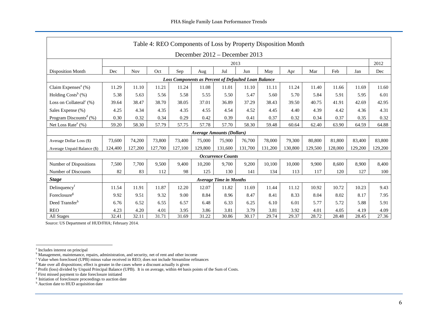<span id="page-6-0"></span>

| Table 4: REO Components of Loss by Property Disposition Month                                                                                  |         |            |         |         |                                  |                               |         |         |         |         |         |         |         |
|------------------------------------------------------------------------------------------------------------------------------------------------|---------|------------|---------|---------|----------------------------------|-------------------------------|---------|---------|---------|---------|---------|---------|---------|
| December 2012 – December 2013                                                                                                                  |         |            |         |         |                                  |                               |         |         |         |         |         |         |         |
|                                                                                                                                                | 2013    |            |         |         |                                  |                               |         |         |         |         |         |         | 2012    |
| <b>Disposition Month</b>                                                                                                                       | Dec     | <b>Nov</b> | Oct     | Sep     | Aug                              | Jul                           | Jun     | May     | Apr     | Mar     | Feb     | Jan     | Dec     |
| <b>Loss Components as Percent of Defaulted Loan Balance</b>                                                                                    |         |            |         |         |                                  |                               |         |         |         |         |         |         |         |
| Claim Expenses <sup>a</sup> $(\%)$<br>11.29<br>11.10<br>11.21<br>11.08<br>11.01<br>11.10<br>11.40<br>11.69<br>11.24<br>11.11<br>11.24<br>11.66 |         |            |         |         |                                  |                               |         |         |         | 11.60   |         |         |         |
| Holding $Costs^b$ (%)                                                                                                                          | 5.38    | 5.63       | 5.56    | 5.58    | 5.55                             | 5.50                          | 5.47    | 5.60    | 5.70    | 5.84    | 5.91    | 5.95    | 6.01    |
| Loss on Collateral <sup>c</sup> $(\%)$                                                                                                         | 39.64   | 38.47      | 38.70   | 38.05   | 37.01                            | 36.89                         | 37.29   | 38.43   | 39.50   | 40.75   | 41.91   | 42.69   | 42.95   |
| Sales Expense (%)                                                                                                                              | 4.25    | 4.34       | 4.35    | 4.35    | 4.55                             | 4.54                          | 4.52    | 4.45    | 4.40    | 4.39    | 4.42    | 4.36    | 4.31    |
| Program Discounts <sup>d</sup> $(\%)$                                                                                                          | 0.30    | 0.32       | 0.34    | 0.29    | 0.42                             | 0.39                          | 0.41    | 0.37    | 0.32    | 0.34    | 0.37    | 0.35    | 0.32    |
| Net Loss Rate $^e$ (%)                                                                                                                         | 59.20   | 58.30      | 57.79   | 57.75   | 57.78                            | 57.70                         | 58.30   | 59.48   | 60.64   | 62.40   | 63.90   | 64.59   | 64.88   |
|                                                                                                                                                |         |            |         |         | <b>Average Amounts (Dollars)</b> |                               |         |         |         |         |         |         |         |
| Average Dollar Loss (\$)                                                                                                                       | 73,600  | 74,200     | 73,800  | 73,400  | 75,000                           | 75,900                        | 76,700  | 78,000  | 79,300  | 80,800  | 81,800  | 83,400  | 83,800  |
| Average Unpaid Balance (\$)                                                                                                                    | 124,400 | 127,200    | 127,700 | 127,100 | 129,800                          | 131,600                       | 131,700 | 131,200 | 130,800 | 129,500 | 128,000 | 129,200 | 129,200 |
|                                                                                                                                                |         |            |         |         |                                  | <b>Occurrence Counts</b>      |         |         |         |         |         |         |         |
| Number of Dispositions                                                                                                                         | 7,500   | 7,700      | 9,500   | 9.400   | 10,200                           | 9,700                         | 9,200   | 10,100  | 10,000  | 9,900   | 8,600   | 8,900   | 8,400   |
| Number of Discounts                                                                                                                            | 82      | 83         | 112     | 98      | 125                              | 130                           | 141     | 134     | 113     | 117     | 120     | 127     | 100     |
| <b>Stage</b>                                                                                                                                   |         |            |         |         |                                  | <b>Average Time in Months</b> |         |         |         |         |         |         |         |
| Delinquency <sup><math>t</math></sup>                                                                                                          | 11.54   | 11.91      | 11.87   | 12.20   | 12.07                            | 11.82                         | 11.69   | 11.44   | 11.12   | 10.92   | 10.72   | 10.23   | 9.43    |
| Foreclosure <sup>g</sup>                                                                                                                       | 9.92    | 9.51       | 9.32    | 9.00    | 8.84                             | 8.96                          | 8.47    | 8.41    | 8.33    | 8.04    | 8.02    | 8.17    | 7.95    |
| Deed Transferh                                                                                                                                 | 6.76    | 6.52       | 6.55    | 6.57    | 6.48                             | 6.33                          | 6.25    | 6.10    | 6.01    | 5.77    | 5.72    | 5.88    | 5.91    |
| <b>REO</b>                                                                                                                                     | 4.23    | 4.20       | 4.01    | 3.95    | 3.86                             | 3.81                          | 3.79    | 3.81    | 3.92    | 4.01    | 4.05    | 4.19    | 4.09    |
| All Stages                                                                                                                                     | 32.41   | 32.11      | 31.71   | 31.69   | 31.22                            | 30.86                         | 30.17   | 29.74   | 29.37   | 28.72   | 28.48   | 28.45   | 27.36   |

a Includes interest on principal

**b** Management, maintenance, repairs, administratio[n, and](#page-6-1) security, net of rent and other income

<sup>c</sup> Value when foreclosed (UPB) minus value received in REO; does not include Streamline refinances

<sup>&</sup>lt;sup>d</sup> Rate over all dispositions; effect is greater in the cases where a discount actually is given<br><sup>e</sup> Profit (loss) divided by Unpaid Principal Balance (UPB). It is on average, within 44 basis points of the Sum of Costs.<br><sup></sup>

<span id="page-6-1"></span>

<sup>&</sup>lt;sup>g</sup> Initiation of foreclosure proceedings to auction date

<sup>&</sup>lt;sup>h</sup> Auction date to HUD acquisition date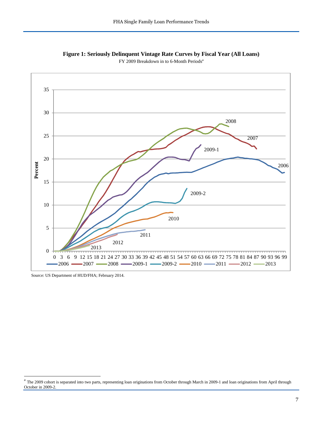

<span id="page-7-0"></span>**Figure 1: Seriously Delinquent Vintage Rate Curves by Fiscal Year (All Loans)** FY 2009 Bre[a](#page-7-1)kdown in to 6-Month Periods<sup>a</sup>

Source: US Department of HUD/FHA; February 2014.

<span id="page-7-1"></span><sup>&</sup>lt;sup>a</sup> The 2009 cohort is separated into two parts, representing loan originations from October through March in 2009-1 and loan originations from April through October in 2009-2.